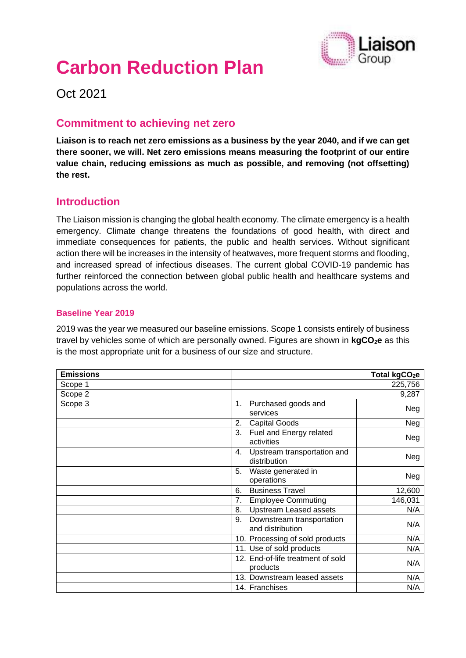

# **Carbon Reduction Plan**

Oct 2021

## **Commitment to achieving net zero**

**Liaison is to reach net zero emissions as a business by the year 2040, and if we can get there sooner, we will. Net zero emissions means measuring the footprint of our entire value chain, reducing emissions as much as possible, and removing (not offsetting) the rest.**

#### **Introduction**

The Liaison mission is changing the global health economy. The climate emergency is a health emergency. Climate change threatens the foundations of good health, with direct and immediate consequences for patients, the public and health services. Without significant action there will be increases in the intensity of heatwaves, more frequent storms and flooding, and increased spread of infectious diseases. The current global COVID-19 pandemic has further reinforced the connection between global public health and healthcare systems and populations across the world.

#### **Baseline Year 2019**

2019 was the year we measured our baseline emissions. Scope 1 consists entirely of business travel by vehicles some of which are personally owned. Figures are shown in **kgCO2e** as this is the most appropriate unit for a business of our size and structure.

| <b>Emissions</b> |                                                     | Total kgCO <sub>2</sub> e |
|------------------|-----------------------------------------------------|---------------------------|
| Scope 1          |                                                     | 225,756                   |
| Scope 2          |                                                     | 9,287                     |
| Scope 3          | Purchased goods and<br>1.<br>services               | Neg                       |
|                  | <b>Capital Goods</b><br>2.                          | Neg                       |
|                  | Fuel and Energy related<br>3.<br>activities         | Neg                       |
|                  | Upstream transportation and<br>4.<br>distribution   | Neg                       |
|                  | Waste generated in<br>5.<br>operations              | Neg                       |
|                  | <b>Business Travel</b><br>6.                        | 12,600                    |
|                  | <b>Employee Commuting</b><br>7.                     | 146,031                   |
|                  | <b>Upstream Leased assets</b><br>8.                 | N/A                       |
|                  | Downstream transportation<br>9.<br>and distribution | N/A                       |
|                  | 10. Processing of sold products                     | N/A                       |
|                  | 11. Use of sold products                            | N/A                       |
|                  | 12. End-of-life treatment of sold<br>products       | N/A                       |
|                  | 13. Downstream leased assets                        | N/A                       |
|                  | 14. Franchises                                      | N/A                       |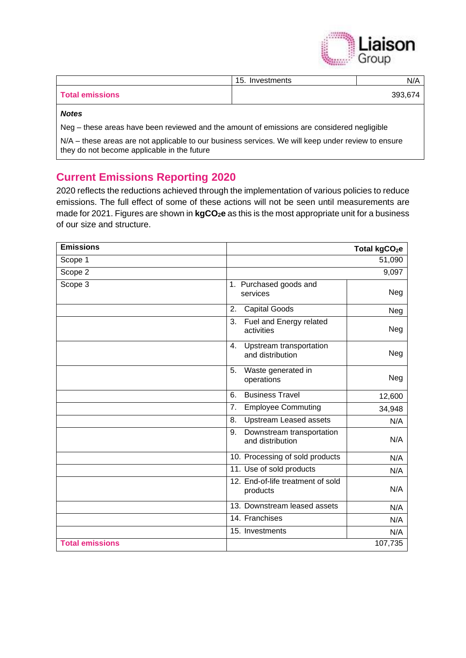

|                        | 15. Investments | N/A     |
|------------------------|-----------------|---------|
| <b>Total emissions</b> |                 | 393,674 |
| <b>Notes</b>           |                 |         |

Neg – these areas have been reviewed and the amount of emissions are considered negligible

N/A – these areas are not applicable to our business services. We will keep under review to ensure they do not become applicable in the future

## **Current Emissions Reporting 2020**

2020 reflects the reductions achieved through the implementation of various policies to reduce emissions. The full effect of some of these actions will not be seen until measurements are made for 2021. Figures are shown in **kgCO2e** as this is the most appropriate unit for a business of our size and structure.

| <b>Emissions</b>       |                                                     | Total kgCO <sub>2</sub> e |
|------------------------|-----------------------------------------------------|---------------------------|
| Scope 1                |                                                     | 51,090                    |
| Scope 2                |                                                     | 9,097                     |
| Scope 3                | 1. Purchased goods and<br>services                  | Neg                       |
|                        | 2.<br><b>Capital Goods</b>                          | Neg                       |
|                        | 3.<br>Fuel and Energy related<br>activities         | Neg                       |
|                        | Upstream transportation<br>4.<br>and distribution   | Neg                       |
|                        | 5.<br>Waste generated in<br>operations              | Neg                       |
|                        | <b>Business Travel</b><br>6.                        | 12,600                    |
|                        | 7.<br><b>Employee Commuting</b>                     | 34,948                    |
|                        | <b>Upstream Leased assets</b><br>8.                 | N/A                       |
|                        | Downstream transportation<br>9.<br>and distribution | N/A                       |
|                        | 10. Processing of sold products                     | N/A                       |
|                        | 11. Use of sold products                            | N/A                       |
|                        | 12. End-of-life treatment of sold<br>products       | N/A                       |
|                        | 13. Downstream leased assets                        | N/A                       |
|                        | 14. Franchises                                      | N/A                       |
|                        | 15. Investments                                     | N/A                       |
| <b>Total emissions</b> |                                                     | 107,735                   |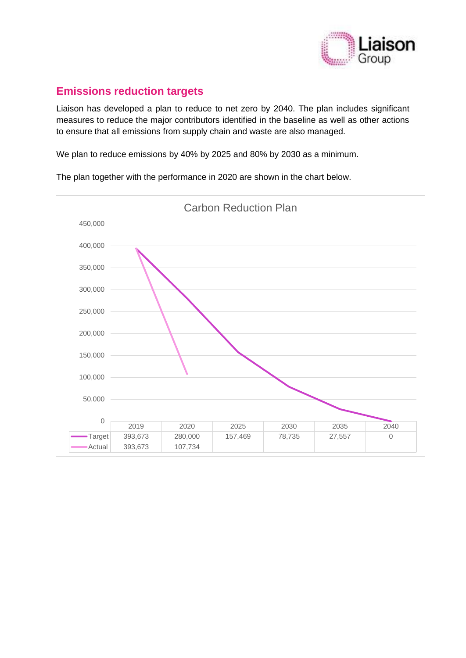

# **Emissions reduction targets**

Liaison has developed a plan to reduce to net zero by 2040. The plan includes significant measures to reduce the major contributors identified in the baseline as well as other actions to ensure that all emissions from supply chain and waste are also managed.

We plan to reduce emissions by 40% by 2025 and 80% by 2030 as a minimum.

The plan together with the performance in 2020 are shown in the chart below.

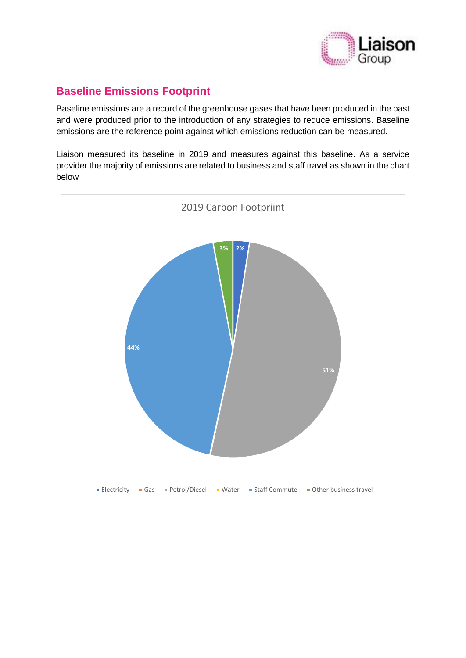

# **Baseline Emissions Footprint**

Baseline emissions are a record of the greenhouse gases that have been produced in the past and were produced prior to the introduction of any strategies to reduce emissions. Baseline emissions are the reference point against which emissions reduction can be measured.

Liaison measured its baseline in 2019 and measures against this baseline. As a service provider the majority of emissions are related to business and staff travel as shown in the chart below

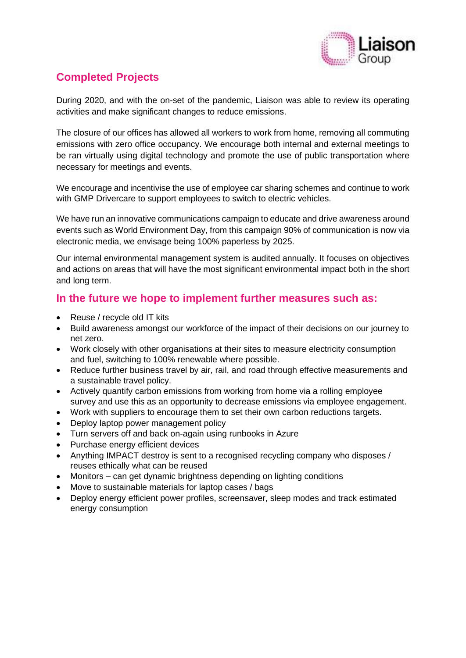

# **Completed Projects**

During 2020, and with the on-set of the pandemic, Liaison was able to review its operating activities and make significant changes to reduce emissions.

The closure of our offices has allowed all workers to work from home, removing all commuting emissions with zero office occupancy. We encourage both internal and external meetings to be ran virtually using digital technology and promote the use of public transportation where necessary for meetings and events.

We encourage and incentivise the use of employee car sharing schemes and continue to work with GMP Drivercare to support employees to switch to electric vehicles.

We have run an innovative communications campaign to educate and drive awareness around events such as World Environment Day, from this campaign 90% of communication is now via electronic media, we envisage being 100% paperless by 2025.

Our internal environmental management system is audited annually. It focuses on objectives and actions on areas that will have the most significant environmental impact both in the short and long term.

### **In the future we hope to implement further measures such as:**

- Reuse / recycle old IT kits
- Build awareness amongst our workforce of the impact of their decisions on our journey to net zero.
- Work closely with other organisations at their sites to measure electricity consumption and fuel, switching to 100% renewable where possible.
- Reduce further business travel by air, rail, and road through effective measurements and a sustainable travel policy.
- Actively quantify carbon emissions from working from home via a rolling employee survey and use this as an opportunity to decrease emissions via employee engagement.
- Work with suppliers to encourage them to set their own carbon reductions targets.
- Deploy laptop power management policy
- Turn servers off and back on-again using runbooks in Azure
- Purchase energy efficient devices
- Anything IMPACT destroy is sent to a recognised recycling company who disposes / reuses ethically what can be reused
- Monitors can get dynamic brightness depending on lighting conditions
- Move to sustainable materials for laptop cases / bags
- Deploy energy efficient power profiles, screensaver, sleep modes and track estimated energy consumption